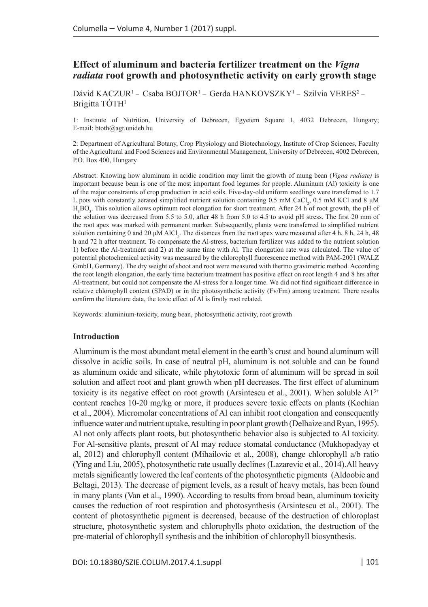# **Effect of aluminum and bacteria fertilizer treatment on the** *Vigna radiata* **root growth and photosynthetic activity on early growth stage**

Dávid KACZUR<sup>1</sup> – Csaba BOJTOR<sup>1</sup> – Gerda HANKOVSZKY<sup>1</sup> – Szilvia VERES<sup>2</sup> – Brigitta TÓTH1

1: Institute of Nutrition, University of Debrecen, Egyetem Square 1, 4032 Debrecen, Hungary; E-mail: [btoth@agr.unideb.hu](mailto:btoth@agr.unideb.hu)

2: Department of Agricultural Botany, Crop Physiology and Biotechnology, Institute of Crop Sciences, Faculty of the Agricultural and Food Sciences and Environmental Management, University of Debrecen, 4002 Debrecen, P.O. Box 400, Hungary

Abstract: Knowing how aluminum in acidic condition may limit the growth of mung bean (*Vigna radiate)* is important because bean is one of the most important food legumes for people. Aluminum (Al) toxicity is one of the major constraints of crop production in acid soils. Five-day-old uniform seedlings were transferred to 1.7 L pots with constantly aerated simplified nutrient solution containing  $0.5$  mM CaCl<sub>2</sub>,  $0.5$  mM KCl and  $8 \mu$ M H3 BO3 . This solution allows optimum root elongation for short treatment. After 24 h of root growth, the pH of the solution was decreased from 5.5 to 5.0, after 48 h from 5.0 to 4.5 to avoid pH stress. The first 20 mm of the root apex was marked with permanent marker. Subsequently, plants were transferred to simplified nutrient solution containing 0 and 20  $\mu$ M AlCl<sub>3</sub>. The distances from the root apex were measured after 4 h, 8 h, 24 h, 48 h and 72 h after treatment. To compensate the Al-stress, bacterium fertilizer was added to the nutrient solution 1) before the Al-treatment and 2) at the same time with Al. The elongation rate was calculated. The value of potential photochemical activity was measured by the chlorophyll fluorescence method with PAM-2001 (WALZ GmbH, Germany). The dry weight of shoot and root were measured with thermo gravimetric method. According the root length elongation, the early time bacterium treatment has positive effect on root length 4 and 8 hrs after Al-treatment, but could not compensate the Al-stress for a longer time. We did not find significant difference in relative chlorophyll content (SPAD) or in the photosynthetic activity (Fv/Fm) among treatment. There results confirm the literature data, the toxic effect of Al is firstly root related.

Keywords: aluminium-toxicity, mung bean, photosynthetic activity, root growth

### **Introduction**

Aluminum is the most abundant metal element in the earth's crust and bound aluminum will dissolve in acidic soils. In case of neutral pH, aluminum is not soluble and can be found as aluminum oxide and silicate, while phytotoxic form of aluminum will be spread in soil solution and affect root and plant growth when pH decreases. The first effect of aluminum toxicity is its negative effect on root growth (Arsintescu et al., 2001). When soluble  $A1<sup>3+</sup>$ content reaches 10-20 mg/kg or more, it produces severe toxic effects on plants (Kochian et al., 2004). Micromolar concentrations of Al can inhibit root elongation and consequently influence water and nutrient uptake, resulting in poor plant growth (Delhaize and Ryan, 1995). Al not only affects plant roots, but photosynthetic behavior also is subjected to Al toxicity. For Al-sensitive plants, present of Al may reduce stomatal conductance (Mukhopadyay et al, 2012) and chlorophyll content (Mihailovic et al., 2008), change chlorophyll a/b ratio (Ying and Liu, 2005), photosynthetic rate usually declines (Lazarevic et al., 2014).All heavy metals significantly lowered the leaf contents of the photosynthetic pigments (Aldoobie and Beltagi, 2013). The decrease of pigment levels, as a result of heavy metals, has been found in many plants (Van et al., 1990). According to results from broad bean, aluminum toxicity causes the reduction of root respiration and photosynthesis (Arsintescu et al., 2001). The content of photosynthetic pigment is decreased, because of the destruction of chloroplast structure, photosynthetic system and chlorophylls photo oxidation, the destruction of the pre-material of chlorophyll synthesis and the inhibition of chlorophyll biosynthesis.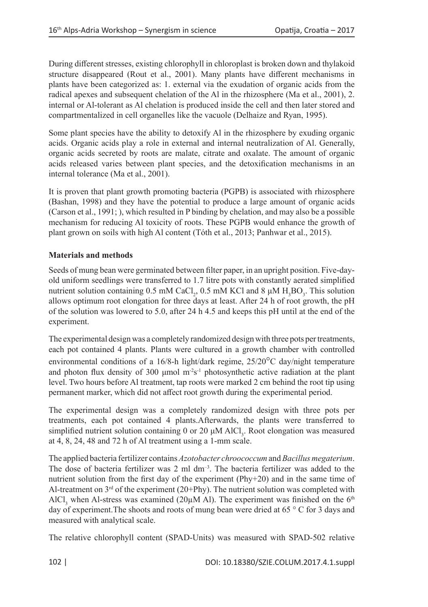During different stresses, existing chlorophyll in chloroplast is broken down and thylakoid structure disappeared (Rout et al., 2001). Many plants have different mechanisms in plants have been categorized as: 1. external via the exudation of organic acids from the radical apexes and subsequent chelation of the Al in the rhizosphere (Ma et al., 2001), 2. internal or Al-tolerant as Al chelation is produced inside the cell and then later stored and compartmentalized in cell organelles like the vacuole (Delhaize and Ryan, 1995).

Some plant species have the ability to detoxify Al in the rhizosphere by exuding organic acids. Organic acids play a role in external and internal neutralization of Al. Generally, organic acids secreted by roots are malate, citrate and oxalate. The amount of organic acids released varies between plant species, and the detoxification mechanisms in an internal tolerance (Ma et al., 2001).

It is proven that plant growth promoting bacteria (PGPB) is associated with rhizosphere (Bashan, 1998) and they have the potential to produce a large amount of organic acids (Carson et al., 1991; ), which resulted in P binding by chelation, and may also be a possible mechanism for reducing Al toxicity of roots. These PGPB would enhance the growth of plant grown on soils with high Al content (Tóth et al., 2013; Panhwar et al., 2015).

## **Materials and methods**

Seeds of mung bean were germinated between filter paper, in an upright position. Five-dayold uniform seedlings were transferred to 1.7 litre pots with constantly aerated simplified nutrient solution containing 0.5 mM CaCl<sub>2</sub>, 0.5 mM KCl and 8  $\mu$ M H<sub>3</sub>BO<sub>3</sub>. This solution allows optimum root elongation for three days at least. After 24 h of root growth, the pH of the solution was lowered to 5.0, after 24 h 4.5 and keeps this pH until at the end of the experiment.

The experimental design was a completely randomized design with three pots per treatments, each pot contained 4 plants. Plants were cultured in a growth chamber with controlled environmental conditions of a 16/8-h light/dark regime, 25/20°C day/night temperature and photon flux density of 300  $\mu$ mol m<sup>-2</sup>s<sup>-1</sup> photosynthetic active radiation at the plant level. Two hours before Al treatment, tap roots were marked 2 cm behind the root tip using permanent marker, which did not affect root growth during the experimental period.

The experimental design was a completely randomized design with three pots per treatments, each pot contained 4 plants.Afterwards, the plants were transferred to simplified nutrient solution containing 0 or 20 μM AlCl<sub>3</sub>. Root elongation was measured at 4, 8, 24, 48 and 72 h of Al treatment using a 1-mm scale.

The applied bacteria fertilizer contains *Azotobacter chroococcum* and *Bacillus megaterium*. The dose of bacteria fertilizer was  $2 \text{ ml } dm^{-3}$ . The bacteria fertilizer was added to the nutrient solution from the first day of the experiment (Phy+20) and in the same time of Al-treatment on  $3<sup>rd</sup>$  of the experiment (20+Phy). The nutrient solution was completed with AlCl<sub>3</sub> when Al-stress was examined (20 $\mu$ M Al). The experiment was finished on the 6<sup>th</sup> day of experiment.The shoots and roots of mung bean were dried at 65 ° C for 3 days and measured with analytical scale.

The relative chlorophyll content (SPAD-Units) was measured with SPAD-502 relative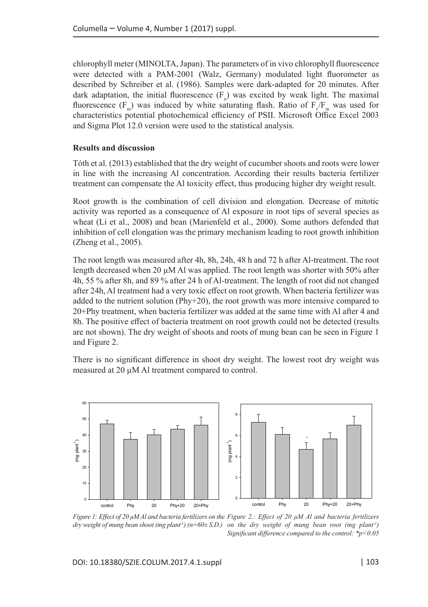chlorophyll meter (MINOLTA, Japan). The parameters of in vivo chlorophyll fluorescence were detected with a PAM-2001 (Walz, Germany) modulated light fluorometer as described by Schreiber et al. (1986). Samples were dark-adapted for 20 minutes. After dark adaptation, the initial fluorescence  $(F_0)$  was excited by weak light. The maximal fluorescence  $(F_m)$  was induced by white saturating flash. Ratio of  $F_v/F_m$  was used for characteristics potential photochemical efficiency of PSII. Microsoft Office Excel 2003 and Sigma Plot 12.0 version were used to the statistical analysis.

### **Results and discussion**

Tóth et al. (2013) established that the dry weight of cucumber shoots and roots were lower in line with the increasing Al concentration. According their results bacteria fertilizer treatment can compensate the Al toxicity effect, thus producing higher dry weight result.

Root growth is the combination of cell division and elongation. Decrease of mitotic activity was reported as a consequence of Al exposure in root tips of several species as wheat (Li et al., 2008) and bean (Marienfeld et al., 2000). Some authors defended that inhibition of cell elongation was the primary mechanism leading to root growth inhibition (Zheng et al., 2005).

The root length was measured after 4h, 8h, 24h, 48 h and 72 h after Al-treatment. The root length decreased when 20  $\mu$ M Al was applied. The root length was shorter with 50% after 4h, 55 % after 8h, and 89 % after 24 h of Al-treatment. The length of root did not changed after 24h, Al treatment had a very toxic effect on root growth. When bacteria fertilizer was added to the nutrient solution (Phy+20), the root growth was more intensive compared to 20+Phy treatment, when bacteria fertilizer was added at the same time with Al after 4 and 8h. The positive effect of bacteria treatment on root growth could not be detected (results are not shown). The dry weight of shoots and roots of mung bean can be seen in Figure 1 and Figure 2.

There is no significant difference in shoot dry weight. The lowest root dry weight was measured at 20 µM Al treatment compared to control.



*Figure 1: Effect of 20 μM Al and bacteria fertilizers on the Figure 2.: Effect of 20 μM Al and bacteria fertilizers dry weight of mung bean shoot (mg plant-1) (n=60± S.D.) on the dry weight of mung bean root (mg plant-1) Significant difference compared to the control: \*p<0.05*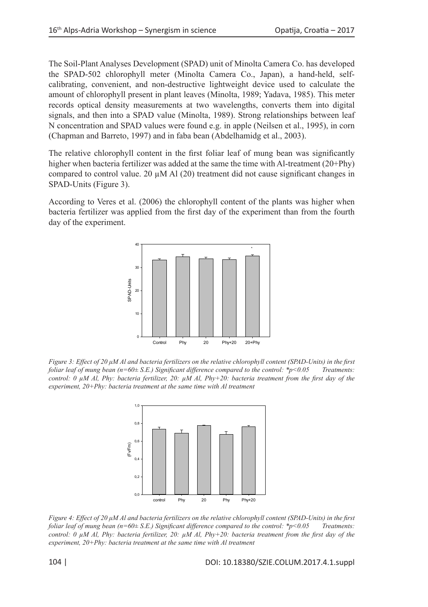The Soil-Plant Analyses Development (SPAD) unit of Minolta Camera Co. has developed the SPAD-502 chlorophyll meter (Minolta Camera Co., Japan), a hand-held, selfcalibrating, convenient, and non-destructive lightweight device used to calculate the amount of chlorophyll present in plant leaves (Minolta, 1989; Yadava, 1985). This meter records optical density measurements at two wavelengths, converts them into digital signals, and then into a SPAD value (Minolta, 1989). Strong relationships between leaf N concentration and SPAD values were found e.g. in apple (Neilsen et al., 1995), in corn (Chapman and Barreto, 1997) and in faba bean (Abdelhamidg et al., 2003).

The relative chlorophyll content in the first foliar leaf of mung bean was significantly higher when bacteria fertilizer was added at the same the time with Al-treatment (20+Phy) compared to control value. 20  $\mu$ M Al (20) treatment did not cause significant changes in SPAD-Units (Figure 3).

According to Veres et al. (2006) the chlorophyll content of the plants was higher when bacteria fertilizer was applied from the first day of the experiment than from the fourth day of the experiment.



*Figure 3: Effect of 20 μM Al and bacteria fertilizers on the relative chlorophyll content (SPAD-Units) in the first foliar leaf of mung bean (n=60± S.E.) Significant difference compared to the control: \*p<0.05 Treatments: control: 0 µM Al, Phy: bacteria fertilizer, 20: µM Al, Phy+20: bacteria treatment from the first day of the experiment, 20+Phy: bacteria treatment at the same time with Al treatment*



*Figure 4: Effect of 20 μM Al and bacteria fertilizers on the relative chlorophyll content (SPAD-Units) in the first foliar leaf of mung bean (n=60± S.E.) Significant difference compared to the control: \*p<0.05 Treatments: control: 0 µM Al, Phy: bacteria fertilizer, 20: µM Al, Phy+20: bacteria treatment from the first day of the experiment, 20+Phy: bacteria treatment at the same time with Al treatment*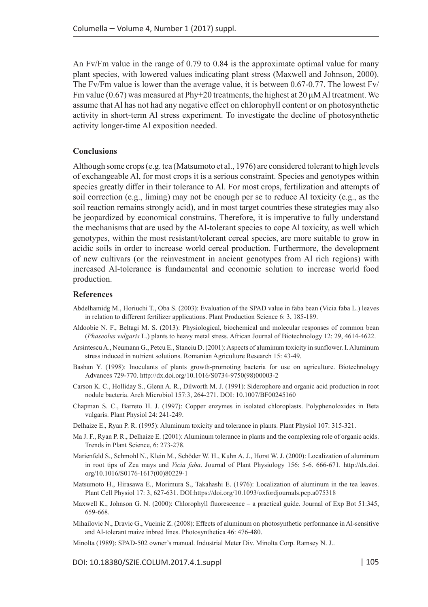An Fv/Fm value in the range of 0.79 to 0.84 is the approximate optimal value for many plant species, with lowered values indicating plant stress (Maxwell and Johnson, 2000). The Fv/Fm value is lower than the average value, it is between 0.67-0.77. The lowest Fv/ Fm value (0.67) was measured at Phy+20 treatments, the highest at 20  $\mu$ M Al treatment. We assume that Al has not had any negative effect on chlorophyll content or on photosynthetic activity in short-term Al stress experiment. To investigate the decline of photosynthetic activity longer-time Al exposition needed.

#### **Conclusions**

Although some crops (e.g. tea (Matsumoto et al., 1976) are considered tolerant to high levels of exchangeable Al, for most crops it is a serious constraint. Species and genotypes within species greatly differ in their tolerance to Al. For most crops, fertilization and attempts of soil correction (e.g., liming) may not be enough per se to reduce Al toxicity (e.g., as the soil reaction remains strongly acid), and in most target countries these strategies may also be jeopardized by economical constrains. Therefore, it is imperative to fully understand the mechanisms that are used by the Al-tolerant species to cope Al toxicity, as well which genotypes, within the most resistant/tolerant cereal species, are more suitable to grow in acidic soils in order to increase world cereal production. Furthermore, the development of new cultivars (or the reinvestment in ancient genotypes from Al rich regions) with increased Al-tolerance is fundamental and economic solution to increase world food production.

#### **References**

- Abdelhamidg M., Horiuchi T., Oba S. (2003): Evaluation of the SPAD value in faba bean (Vicia faba L.) leaves in relation to different fertilizer applications. Plant Production Science 6: 3, 185-189.
- Aldoobie N. F., Beltagi M. S. (2013): Physiological, biochemical and molecular responses of common bean (*Phaseolus vulgaris* L.) plants to heavy metal stress. African Journal of Biotechnology 12: 29, 4614-4622.
- Arsintescu A., Neumann G., Petcu E., Stanciu D. (2001): Aspects of aluminum toxicity in sunflower. I. Aluminum stress induced in nutrient solutions. Romanian Agriculture Research 15: 43-49.
- Bashan Y. (1998): Inoculants of plants growth-promoting bacteria for use on agriculture. Biotechnology Advances 729-770. [http://dx.doi.org/10.1016/S0734-9750\(98\)00003-2](http://dx.doi.org/10.1016/S0734-9750(98)00003-2)
- Carson K. C., Holliday S., Glenn A. R., Dilworth M. J. (1991): Siderophore and organic acid production in root nodule bacteria. Arch Microbiol 157:3, 264-271. DOI: 10.1007/BF00245160
- Chapman S. C., Barreto H. J. (1997): Copper enzymes in isolated chloroplasts. Polyphenoloxides in Beta vulgaris. Plant Physiol 24: 241-249.
- Delhaize E., Ryan P. R. (1995): Aluminum toxicity and tolerance in plants. Plant Physiol 107: 315-321.
- Ma J. F., Ryan P. R., Delhaize E. (2001): Aluminum tolerance in plants and the complexing role of organic acids. Trends in Plant Science, 6: 273-278.
- Marienfeld S., Schmohl N., Klein M., Schöder W. H., Kuhn A. J., Horst W. J. (2000): Localization of aluminum in root tips of Zea mays and *Vicia faba*. Journal of Plant Physiology 156: 5-6. 666-671. [http://dx.doi.](http://dx.doi.org/10.1016/S0176-1617%2800%2980229-1) [org/10.1016/S0176-1617\(00\)80229-1](http://dx.doi.org/10.1016/S0176-1617%2800%2980229-1)
- Matsumoto H., Hirasawa E., Morimura S., Takahashi E. (1976): Localization of aluminum in the tea leaves. Plant Cell Physiol 17: 3, 627-631. DOI:<https://doi.org/10.1093/oxfordjournals.pcp.a075318>
- Maxwell K., Johnson G. N. (2000): Chlorophyll fluorescence a practical guide. Journal of Exp Bot 51:345, 659-668.
- Mihailovic N., Dravic G., Vucinic Z. (2008): Effects of aluminum on photosynthetic performance in Al-sensitive and Al-tolerant maize inbred lines. Photosynthetica 46: 476-480.
- Minolta (1989): SPAD-502 owner's manual. Industrial Meter Div. Minolta Corp. Ramsey N. J..

DOI: 10.18380/SZIE.COLUM.2017.4.1.suppl | 105